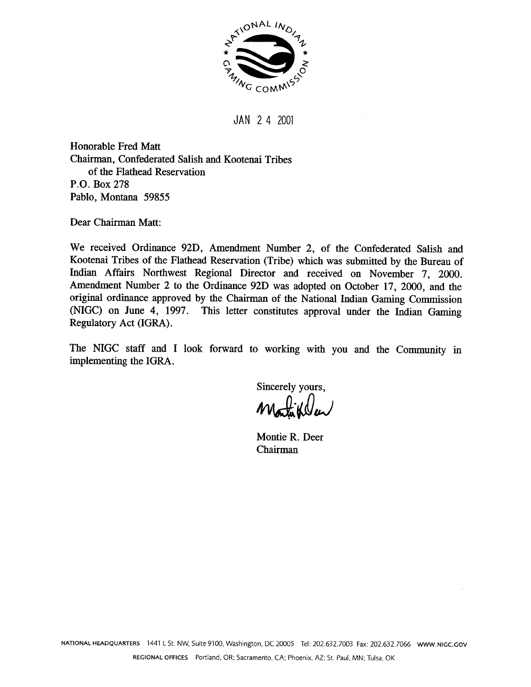

**JAN** 2 4 2001

Honorable Fred Matt Chairman, Confederated Salish and Kootenai Tribes of the Flathead Reservation P.O. Box 278 Pablo, Montana 59855

**Dear** Chairman Matt:

We received Ordinance 92D, Amendment Number 2, of the Confederated Salish and Kootenai Tribes of the Flathead Reservation (Tribe) which was submitted by the Bureau of Indian Affairs Northwest Regional Director and received on November 7, 2000. Amendment Number **2** to the Ordinance **92D** was adopted on October 17, **2000,** and the original ordinance approved by the Chairman of the National Indian Gaming Commission **(NIGC)** on June 4, 1997. This letter constitutes approval under the Indian Gaming Regulatory Act (IGRA) .

The NIGC staff and I look forward to working with you and the Community in implementing the IGRA .

Sincerely yours,

Montie R. Deer Chairman